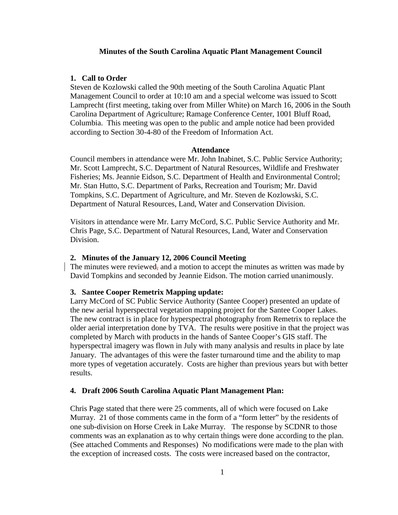### **Minutes of the South Carolina Aquatic Plant Management Council**

### **1. Call to Order**

Steven de Kozlowski called the 90th meeting of the South Carolina Aquatic Plant Management Council to order at 10:10 am and a special welcome was issued to Scott Lamprecht (first meeting, taking over from Miller White) on March 16, 2006 in the South Carolina Department of Agriculture; Ramage Conference Center, 1001 Bluff Road, Columbia. This meeting was open to the public and ample notice had been provided according to Section 30-4-80 of the Freedom of Information Act.

#### **Attendance**

Council members in attendance were Mr. John Inabinet, S.C. Public Service Authority; Mr. Scott Lamprecht, S.C. Department of Natural Resources, Wildlife and Freshwater Fisheries; Ms. Jeannie Eidson, S.C. Department of Health and Environmental Control; Mr. Stan Hutto, S.C. Department of Parks, Recreation and Tourism; Mr. David Tompkins, S.C. Department of Agriculture, and Mr. Steven de Kozlowski, S.C. Department of Natural Resources, Land, Water and Conservation Division.

Visitors in attendance were Mr. Larry McCord, S.C. Public Service Authority and Mr. Chris Page, S.C. Department of Natural Resources, Land, Water and Conservation Division.

### **2. Minutes of the January 12, 2006 Council Meeting**

The minutes were reviewed, and a motion to accept the minutes as written was made by David Tompkins and seconded by Jeannie Eidson. The motion carried unanimously.

#### **3. Santee Cooper Remetrix Mapping update:**

Larry McCord of SC Public Service Authority (Santee Cooper) presented an update of the new aerial hyperspectral vegetation mapping project for the Santee Cooper Lakes. The new contract is in place for hyperspectral photography from Remetrix to replace the older aerial interpretation done by TVA. The results were positive in that the project was completed by March with products in the hands of Santee Cooper's GIS staff. The hyperspectral imagery was flown in July with many analysis and results in place by late January. The advantages of this were the faster turnaround time and the ability to map more types of vegetation accurately. Costs are higher than previous years but with better results.

#### **4. Draft 2006 South Carolina Aquatic Plant Management Plan:**

Chris Page stated that there were 25 comments, all of which were focused on Lake Murray. 21 of those comments came in the form of a "form letter" by the residents of one sub-division on Horse Creek in Lake Murray. The response by SCDNR to those comments was an explanation as to why certain things were done according to the plan. (See attached Comments and Responses) No modifications were made to the plan with the exception of increased costs. The costs were increased based on the contractor,